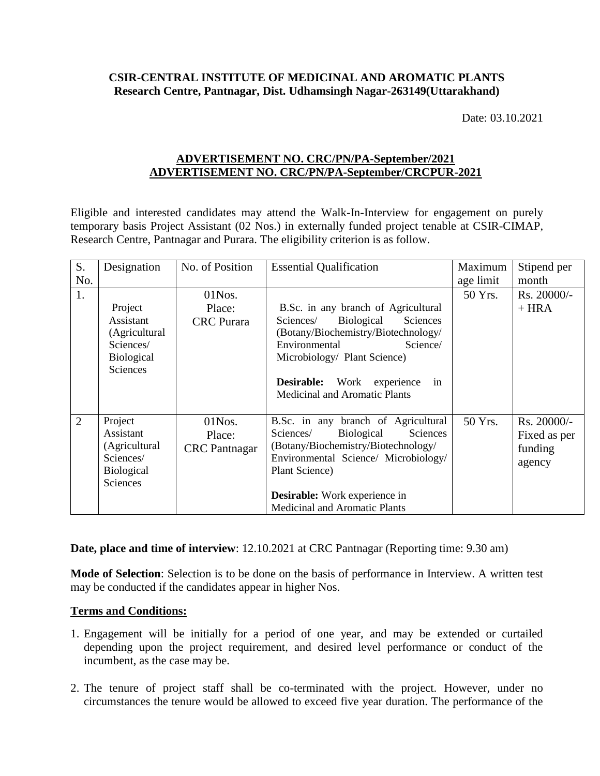## **CSIR-CENTRAL INSTITUTE OF MEDICINAL AND AROMATIC PLANTS Research Centre, Pantnagar, Dist. Udhamsingh Nagar-263149(Uttarakhand)**

Date: 03.10.2021

## **ADVERTISEMENT NO. CRC/PN/PA-September/2021 ADVERTISEMENT NO. CRC/PN/PA-September/CRCPUR-2021**

Eligible and interested candidates may attend the Walk-In-Interview for engagement on purely temporary basis Project Assistant (02 Nos.) in externally funded project tenable at CSIR-CIMAP, Research Centre, Pantnagar and Purara. The eligibility criterion is as follow.

| S.             | Designation                                                                         | No. of Position                             | <b>Essential Qualification</b>                                                                                                                                                                                                                                | Maximum   | Stipend per                                        |
|----------------|-------------------------------------------------------------------------------------|---------------------------------------------|---------------------------------------------------------------------------------------------------------------------------------------------------------------------------------------------------------------------------------------------------------------|-----------|----------------------------------------------------|
| No.            |                                                                                     |                                             |                                                                                                                                                                                                                                                               | age limit | month                                              |
| 1.             |                                                                                     | $01$ Nos.                                   |                                                                                                                                                                                                                                                               | 50 Yrs.   | $Rs. 20000/-$                                      |
|                | Project<br>Assistant<br>(Agricultural<br>Sciences/<br><b>Biological</b><br>Sciences | Place:<br><b>CRC</b> Purara                 | B.Sc. in any branch of Agricultural<br>Biological<br>Sciences/<br>Sciences<br>(Botany/Biochemistry/Biotechnology/<br>Environmental<br>Science/<br>Microbiology/ Plant Science)<br>Desirable:<br>Work experience<br>in<br><b>Medicinal and Aromatic Plants</b> |           | $+ HRA$                                            |
| $\overline{2}$ | Project<br>Assistant<br>(Agricultural<br>Sciences/<br><b>Biological</b><br>Sciences | $01$ Nos.<br>Place:<br><b>CRC</b> Pantnagar | B.Sc. in any branch of Agricultural<br>Sciences<br>Biological<br>Sciences/<br>(Botany/Biochemistry/Biotechnology/<br>Environmental Science/ Microbiology/<br>Plant Science)<br><b>Desirable:</b> Work experience in                                           | 50 Yrs.   | $Rs. 20000/-$<br>Fixed as per<br>funding<br>agency |
|                |                                                                                     |                                             | <b>Medicinal and Aromatic Plants</b>                                                                                                                                                                                                                          |           |                                                    |

**Date, place and time of interview**: 12.10.2021 at CRC Pantnagar (Reporting time: 9.30 am)

**Mode of Selection**: Selection is to be done on the basis of performance in Interview. A written test may be conducted if the candidates appear in higher Nos.

## **Terms and Conditions:**

- 1. Engagement will be initially for a period of one year, and may be extended or curtailed depending upon the project requirement, and desired level performance or conduct of the incumbent, as the case may be.
- 2. The tenure of project staff shall be co-terminated with the project. However, under no circumstances the tenure would be allowed to exceed five year duration. The performance of the